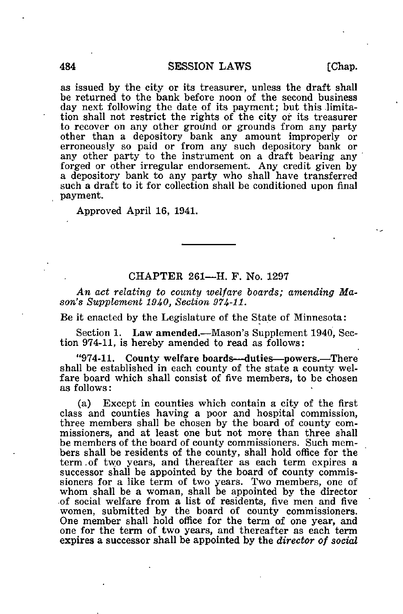as issued by the city or its treasurer, unless the draft shall be returned to the bank before noon of the second business day next following the date of its payment; but this limitation shall not restrict the rights of the city or its treasurer to recover on any other ground or grounds from any party other than a depository bank any amount improperly or erroneously so paid or from any such depository bank or any other party to the instrument on a draft bearing any forged or other irregular endorsement. Any credit given by a depository bank to any party who shall have transferred such a draft to it for collection shall be conditioned upon final payment.

Approved April 16, 1941.

## CHAPTER 261—H. F. No. 1297

An act relating to county welfare boards; amending Mason's Supplement 1940, Section 974-11.

Be it enacted by the Legislature of the State of Minnesota:

Section 1. Law amended.—Mason's Supplement 1940, Section 974-11, is hereby amended to read as follows:

"974-11. County welfare boards—duties—powers.—There shall be established in each county of the state a county welfare board which shall consist of five members, to be chosen as follows:

(a) Except in counties which contain a city of the first class and counties having a poor and hospital commission, three members shall be chosen by the board of county commissioners, and at least one but not more than three shall be members of the board of county commissioners. Such members shall be residents of the county, shall hold office for the term,of two years, and thereafter as each term expires a successor shall be appointed by the board of county commissioners for a like term of two years. Two members, one of whom shall be a woman, shall be appointed by the director .of social welfare from a list of residents, five men and five women, submitted by the board of county commissioners. One member shall hold office for the term of one year, and one for the term of two years, and thereafter as each term expires a successor shall be appointed by the director of social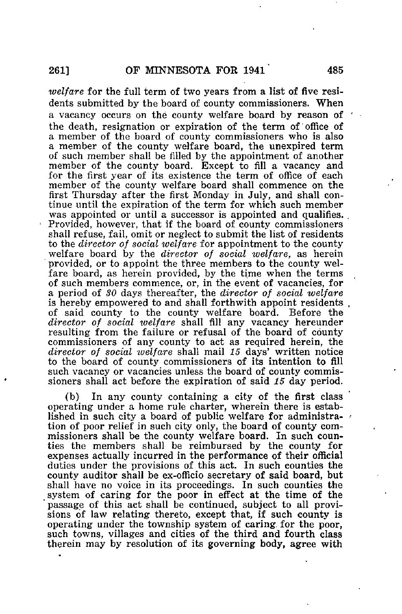welfare for the full term of two years from a list of five residents submitted by the board of county commissioners. When a vacancy occurs on the county welfare board by reason of the death, resignation or expiration of the term of office of a member of the board of county commissioners who is also a member of the county welfare board, the unexpired term of such member shall be filled by the appointment of another member of the county board. Except to fill a vacancy and for the first year of its existence the term of office of each member of the county welfare board shall commence on the first Thursday after the first Monday in July, and shall continue until the expiration of the term for which such member was appointed or until a successor is appointed and qualifies. Provided, however, that if the board of county commissioners shall refuse, fail, omit or neglect to submit the list of residents to the director of social welfare for appointment to the county welfare board by the *director* of social welfare, as herein provided, or to appoint the three members to the county welfare board, as herein provided, by the time when the terms of such members commence, or, in the event of vacancies, for a period of 30 days thereafter, the director of social welfare is hereby empowered to and shall forthwith appoint residents.<br>of said county to the county welfare board. Before the of said county to the county welfare board. director of social welfare shall fill any vacancy hereunder resulting from the failure or refusal of the board of county commissioners of any county to act as required herein, the director of social welfare shall mail 15 days' written notice to the board of county commissioners of its intention to fill such vacancy or vacancies unless the board of county commissioners shall act before the expiration of said 15 day period.

(b) In any county containing a city of the first class operating under a home rule charter, wherein there is established in such city a board of public welfare for administration of poor relief in such city only, the board of county commissioners shall be the county welfare board. In such counties the members shall be reimbursed by the county for expenses actually incurred in the performance of their official duties under the provisions of this act. In such counties the county auditor shall be ex-officio secretary of said board, but shall have no voice in its proceedings. In such counties the system of caring for the poor in effect at the time of the passage of this act shall be continued, subject to all provisions of law relating thereto, except that, if such county is operating under the township system of caring, for the poor, such towns, villages and cities of the third and fourth class therein may by resolution of its governing body, agree with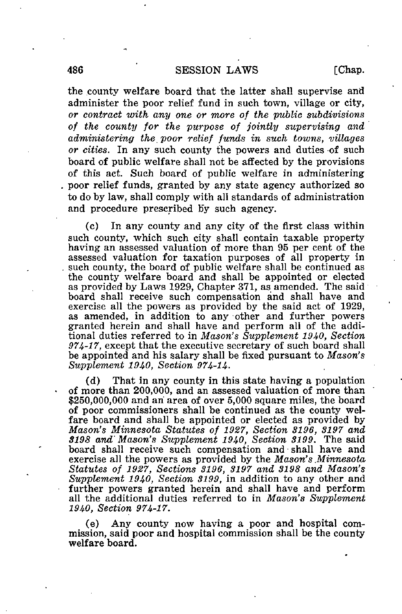## 486 SESSION LAWS [Chap.

the county welfare board that the latter shall supervise and administer the poor relief fund in such town, village or city, or contract with any one or more of the public subdivisions of the county for the purpose of jointly supervising and administering the. poor relief funds in such towns, villages or cities. In any such county the powers and duties of such board of public welfare shall not be affected by the provisions of this act. Such board of public welfare in administering poor relief funds, granted by any state agency authorized so to do by law, shall comply with all standards of administration and procedure prescribed by such agency.

(c) In any county and any city of the first class within such county, which such city shall contain taxable property having an assessed valuation of more than 95 per cent of the assessed valuation for taxation purposes of all property in such county, the board of public welfare shall be continued as the county welfare board and shall be appointed or elected as provided by Laws 1929, Chapter 371, as amended. The said board shall receive such compensation and shall have and exercise all the powers as provided by the said act of 1929, as amended, in addition to any -other and further powers granted herein and shall have and perform all of the additional duties referred to in Mason's Supplement 1940, Section 974-17, except that the executive secretary of such board shall be appointed and his salary shall be fixed pursuant to Mason's Supplement 1940, Section 974-14.

(d) That in any county in this state having a population of more than 200,000, and an assessed valuation of more than \$250,000,000 and an area of over 5,000 square miles, the board of poor commissioners shall be continued as the county welfare board and shall be appointed or elected as provided by Mason's Minnesota Statutes of 1927, Section 3196, 3197 and S198 and'Mason's Supplement 1940, Section 3199. The said board shall receive such compensation and shall have and exercise all the powers as provided by the Mason's Minnesota Statutes of 1927, Sections 3196, 3197 and 8198 and Mason's Supplement 1940, Section 3199, in addition to any other and further powers granted herein and shall have and perform all the additional duties referred to in Mason's Supplement 1940, Section 974-17.

Any county now having a poor and hospital commission, said poor and hospital commission shall be the county welfare board.